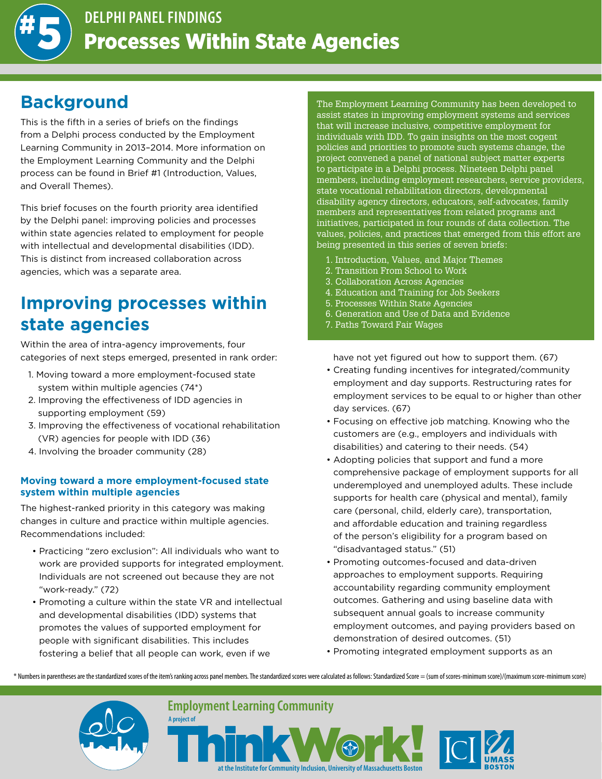

## **Background**

This is the fifth in a series of briefs on the findings from a Delphi process conducted by the Employment Learning Community in 2013–2014. More information on the Employment Learning Community and the Delphi process can be found in Brief #1 (Introduction, Values, and Overall Themes).

This brief focuses on the fourth priority area identified by the Delphi panel: improving policies and processes within state agencies related to employment for people with intellectual and developmental disabilities (IDD). This is distinct from increased collaboration across agencies, which was a separate area.

# **Improving processes within state agencies**

Within the area of intra-agency improvements, four categories of next steps emerged, presented in rank order:

- 1. Moving toward a more employment-focused state system within multiple agencies (74\*)
- 2. Improving the effectiveness of IDD agencies in supporting employment (59)
- 3. Improving the effectiveness of vocational rehabilitation (VR) agencies for people with IDD (36)
- 4. Involving the broader community (28)

#### **Moving toward a more employment-focused state system within multiple agencies**

The highest-ranked priority in this category was making changes in culture and practice within multiple agencies. Recommendations included:

- Practicing "zero exclusion": All individuals who want to work are provided supports for integrated employment. Individuals are not screened out because they are not "work-ready." (72)
- Promoting a culture within the state VR and intellectual and developmental disabilities (IDD) systems that promotes the values of supported employment for people with significant disabilities. This includes fostering a belief that all people can work, even if we

**A project of**

The Employment Learning Community has been developed to assist states in improving employment systems and services that will increase inclusive, competitive employment for individuals with IDD. To gain insights on the most cogent policies and priorities to promote such systems change, the project convened a panel of national subject matter experts to participate in a Delphi process. Nineteen Delphi panel members, including employment researchers, service providers, state vocational rehabilitation directors, developmental disability agency directors, educators, self-advocates, family members and representatives from related programs and initiatives, participated in four rounds of data collection. The values, policies, and practices that emerged from this effort are being presented in this series of seven briefs:

- 1. Introduction, Values, and Major Themes
- 2. Transition From School to Work
- 3. Collaboration Across Agencies
- 4. Education and Training for Job Seekers
- 5. Processes Within State Agencies
- 6. Generation and Use of Data and Evidence
- 7. Paths Toward Fair Wages

have not yet figured out how to support them. (67)

- Creating funding incentives for integrated/community employment and day supports. Restructuring rates for employment services to be equal to or higher than other day services. (67)
- Focusing on effective job matching. Knowing who the customers are (e.g., employers and individuals with disabilities) and catering to their needs. (54)
- Adopting policies that support and fund a more comprehensive package of employment supports for all underemployed and unemployed adults. These include supports for health care (physical and mental), family care (personal, child, elderly care), transportation, and affordable education and training regardless of the person's eligibility for a program based on "disadvantaged status." (51)
- Promoting outcomes-focused and data-driven approaches to employment supports. Requiring accountability regarding community employment outcomes. Gathering and using baseline data with subsequent annual goals to increase community employment outcomes, and paying providers based on demonstration of desired outcomes. (51)
- Promoting integrated employment supports as an

\* Numbers in parentheses are the standardized scores of the item's ranking across panel members. The standardized scores were calculated as follows: Standardized Score = (sum of scores-minimum score)/(maximum score-minimum



**Employment Learning Community** 

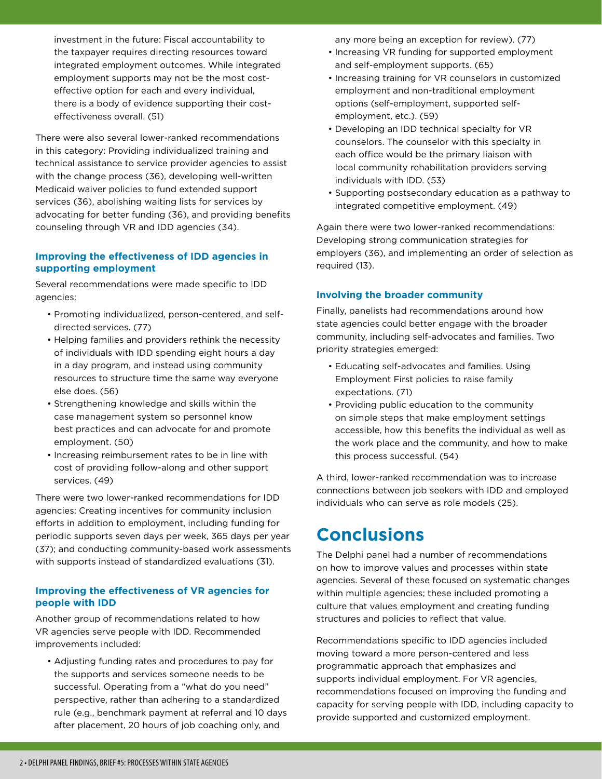investment in the future: Fiscal accountability to the taxpayer requires directing resources toward integrated employment outcomes. While integrated employment supports may not be the most costeffective option for each and every individual, there is a body of evidence supporting their costeffectiveness overall. (51)

There were also several lower-ranked recommendations in this category: Providing individualized training and technical assistance to service provider agencies to assist with the change process (36), developing well-written Medicaid waiver policies to fund extended support services (36), abolishing waiting lists for services by advocating for better funding (36), and providing benefits counseling through VR and IDD agencies (34).

#### **Improving the effectiveness of IDD agencies in supporting employment**

Several recommendations were made specific to IDD agencies:

- Promoting individualized, person-centered, and selfdirected services. (77)
- Helping families and providers rethink the necessity of individuals with IDD spending eight hours a day in a day program, and instead using community resources to structure time the same way everyone else does. (56)
- Strengthening knowledge and skills within the case management system so personnel know best practices and can advocate for and promote employment. (50)
- Increasing reimbursement rates to be in line with cost of providing follow-along and other support services. (49)

There were two lower-ranked recommendations for IDD agencies: Creating incentives for community inclusion efforts in addition to employment, including funding for periodic supports seven days per week, 365 days per year (37); and conducting community-based work assessments with supports instead of standardized evaluations (31).

#### **Improving the effectiveness of VR agencies for people with IDD**

Another group of recommendations related to how VR agencies serve people with IDD. Recommended improvements included:

• Adjusting funding rates and procedures to pay for the supports and services someone needs to be successful. Operating from a "what do you need" perspective, rather than adhering to a standardized rule (e.g., benchmark payment at referral and 10 days after placement, 20 hours of job coaching only, and

any more being an exception for review). (77)

- Increasing VR funding for supported employment and self-employment supports. (65)
- Increasing training for VR counselors in customized employment and non-traditional employment options (self-employment, supported selfemployment, etc.). (59)
- Developing an IDD technical specialty for VR counselors. The counselor with this specialty in each office would be the primary liaison with local community rehabilitation providers serving individuals with IDD. (53)
- Supporting postsecondary education as a pathway to integrated competitive employment. (49)

Again there were two lower-ranked recommendations: Developing strong communication strategies for employers (36), and implementing an order of selection as required (13).

### **Involving the broader community**

Finally, panelists had recommendations around how state agencies could better engage with the broader community, including self-advocates and families. Two priority strategies emerged:

- Educating self-advocates and families. Using Employment First policies to raise family expectations. (71)
- Providing public education to the community on simple steps that make employment settings accessible, how this benefits the individual as well as the work place and the community, and how to make this process successful. (54)

A third, lower-ranked recommendation was to increase connections between job seekers with IDD and employed individuals who can serve as role models (25).

## **Conclusions**

The Delphi panel had a number of recommendations on how to improve values and processes within state agencies. Several of these focused on systematic changes within multiple agencies; these included promoting a culture that values employment and creating funding structures and policies to reflect that value.

Recommendations specific to IDD agencies included moving toward a more person-centered and less programmatic approach that emphasizes and supports individual employment. For VR agencies, recommendations focused on improving the funding and capacity for serving people with IDD, including capacity to provide supported and customized employment.